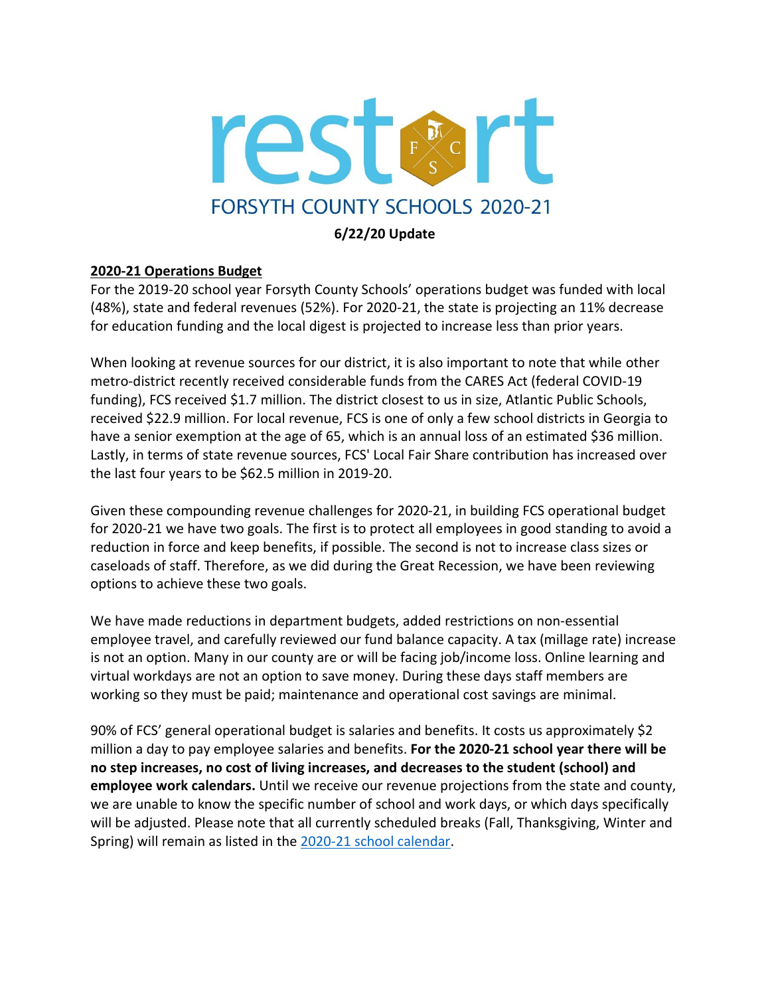

# **6/22/20 Update**

## **2020-21 Operations Budget**

For the 2019-20 school year Forsyth County Schools' operations budget was funded with local (48%), state and federal revenues (52%). For 2020-21, the state is projecting an 11% decrease for education funding and the local digest is projected to increase less than prior years.

When looking at revenue sources for our district, it is also important to note that while other metro-district recently received considerable funds from the CARES Act (federal COVID-19 funding), FCS received \$1.7 million. The district closest to us in size, Atlantic Public Schools, received \$22.9 million. For local revenue, FCS is one of only a few school districts in Georgia to have a senior exemption at the age of 65, which is an annual loss of an estimated \$36 million. Lastly, in terms of state revenue sources, FCS' Local Fair Share contribution has increased over the last four years to be \$62.5 million in 2019-20.

Given these compounding revenue challenges for 2020-21, in building FCS operational budget for 2020-21 we have two goals. The first is to protect all employees in good standing to avoid a reduction in force and keep benefits, if possible. The second is not to increase class sizes or caseloads of staff. Therefore, as we did during the Great Recession, we have been reviewing options to achieve these two goals.

We have made reductions in department budgets, added restrictions on non-essential employee travel, and carefully reviewed our fund balance capacity. A tax (millage rate) increase is not an option. Many in our county are or will be facing job/income loss. Online learning and virtual workdays are not an option to save money. During these days staff members are working so they must be paid; maintenance and operational cost savings are minimal.

90% of FCS' general operational budget is salaries and benefits. It costs us approximately \$2 million a day to pay employee salaries and benefits. **For the 2020-21 school year there will be no step increases, no cost of living increases, and decreases to the student (school) and employee work calendars.** Until we receive our revenue projections from the state and county, we are unable to know the specific number of school and work days, or which days specifically will be adjusted. Please note that all currently scheduled breaks (Fall, Thanksgiving, Winter and Spring) will remain as listed in the 2020-21 school [calendar.](https://www.forsyth.k12.ga.us/Page/349)